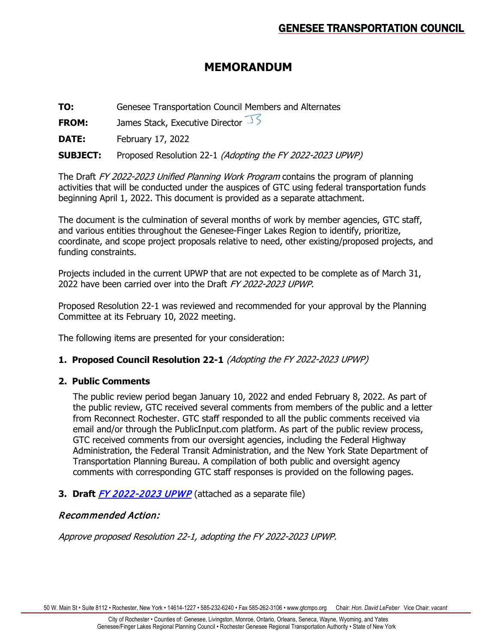# **MEMORANDUM**

**TO:** Genesee Transportation Council Members and Alternates

**FROM:** James Stack, Executive Director  $\sqrt{5}$ 

**DATE:** February 17, 2022

**SUBJECT:** Proposed Resolution 22-1 (Adopting the FY 2022-2023 UPWP)

The Draft FY 2022-2023 Unified Planning Work Program contains the program of planning activities that will be conducted under the auspices of GTC using federal transportation funds beginning April 1, 2022. This document is provided as a separate attachment.

The document is the culmination of several months of work by member agencies, GTC staff, and various entities throughout the Genesee-Finger Lakes Region to identify, prioritize, coordinate, and scope project proposals relative to need, other existing/proposed projects, and funding constraints.

Projects included in the current UPWP that are not expected to be complete as of March 31, 2022 have been carried over into the Draft FY 2022-2023 UPWP.

Proposed Resolution 22-1 was reviewed and recommended for your approval by the Planning Committee at its February 10, 2022 meeting.

The following items are presented for your consideration:

## **1. Proposed Council Resolution 22-1** (Adopting the FY 2022-2023 UPWP)

## **2. Public Comments**

The public review period began January 10, 2022 and ended February 8, 2022. As part of the public review, GTC received several comments from members of the public and a letter from Reconnect Rochester. GTC staff responded to all the public comments received via email and/or through the PublicInput.com platform. As part of the public review process, GTC received comments from our oversight agencies, including the Federal Highway Administration, the Federal Transit Administration, and the New York State Department of Transportation Planning Bureau. A compilation of both public and oversight agency comments with corresponding GTC staff responses is provided on the following pages.

**3. Draft [FY 2022-2023 UPWP](https://www.gtcmpo.org/sites/default/files/pdf/2022/gtc_february2022_item6a_upwp_draft.pdf)** (attached as a separate file)

## Recommended Action:

Approve proposed Resolution 22-1, adopting the FY 2022-2023 UPWP.

50 W. Main St • Suite 8112 • Rochester, New York • 14614-1227 • 585-232-6240 • Fax 585-262-3106 • www.gtcmpo.org Chair: *Hon. David LeFeber* Vice Chair: *vacant*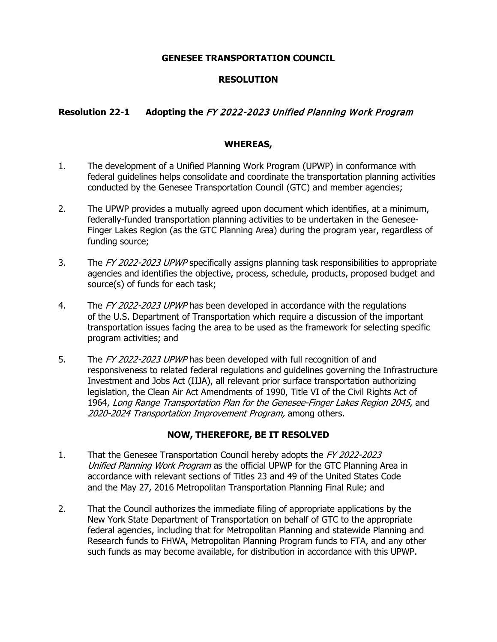#### **GENESEE TRANSPORTATION COUNCIL**

## **RESOLUTION**

## **Resolution 22-1 Adopting the** FY 2022-2023 Unified Planning Work Program

#### **WHEREAS,**

- 1. The development of a Unified Planning Work Program (UPWP) in conformance with federal guidelines helps consolidate and coordinate the transportation planning activities conducted by the Genesee Transportation Council (GTC) and member agencies;
- 2. The UPWP provides a mutually agreed upon document which identifies, at a minimum, federally-funded transportation planning activities to be undertaken in the Genesee-Finger Lakes Region (as the GTC Planning Area) during the program year, regardless of funding source;
- 3. The FY 2022-2023 UPWP specifically assigns planning task responsibilities to appropriate agencies and identifies the objective, process, schedule, products, proposed budget and source(s) of funds for each task;
- 4. The FY 2022-2023 UPWP has been developed in accordance with the regulations of the U.S. Department of Transportation which require a discussion of the important transportation issues facing the area to be used as the framework for selecting specific program activities; and
- 5. The FY 2022-2023 UPWP has been developed with full recognition of and responsiveness to related federal regulations and guidelines governing the Infrastructure Investment and Jobs Act (IIJA), all relevant prior surface transportation authorizing legislation, the Clean Air Act Amendments of 1990, Title VI of the Civil Rights Act of 1964, Long Range Transportation Plan for the Genesee-Finger Lakes Region 2045, and 2020-2024 Transportation Improvement Program, among others.

#### **NOW, THEREFORE, BE IT RESOLVED**

- 1. That the Genesee Transportation Council hereby adopts the FY 2022-2023 Unified Planning Work Program as the official UPWP for the GTC Planning Area in accordance with relevant sections of Titles 23 and 49 of the United States Code and the May 27, 2016 Metropolitan Transportation Planning Final Rule; and
- 2. That the Council authorizes the immediate filing of appropriate applications by the New York State Department of Transportation on behalf of GTC to the appropriate federal agencies, including that for Metropolitan Planning and statewide Planning and Research funds to FHWA, Metropolitan Planning Program funds to FTA, and any other such funds as may become available, for distribution in accordance with this UPWP.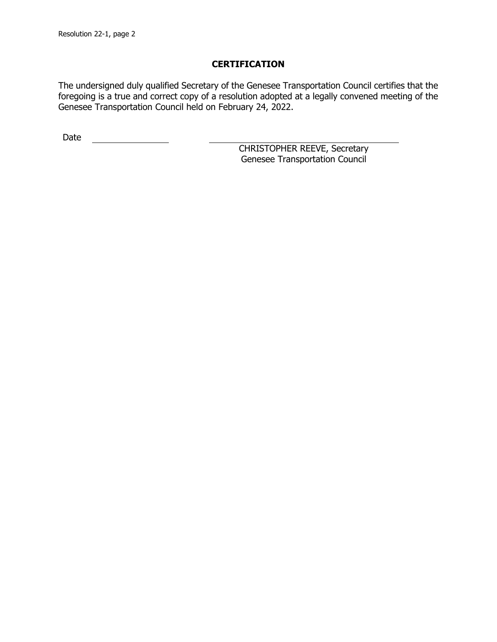## **CERTIFICATION**

The undersigned duly qualified Secretary of the Genesee Transportation Council certifies that the foregoing is a true and correct copy of a resolution adopted at a legally convened meeting of the Genesee Transportation Council held on February 24, 2022.

Date

CHRISTOPHER REEVE, Secretary Genesee Transportation Council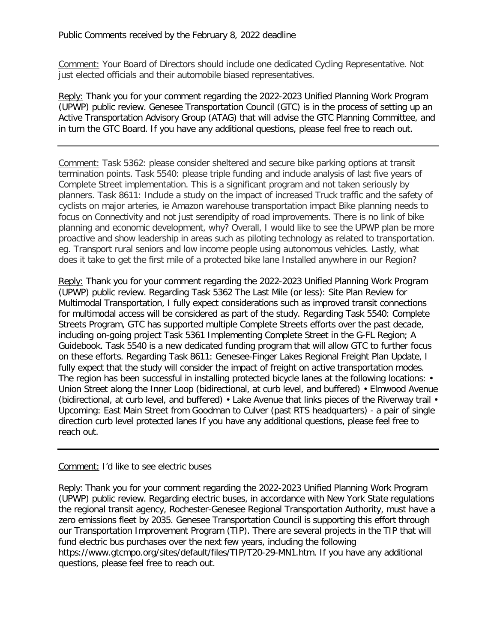Comment: Your Board of Directors should include one dedicated Cycling Representative. Not just elected officials and their automobile biased representatives.

Reply: Thank you for your comment regarding the 2022-2023 Unified Planning Work Program (UPWP) public review. Genesee Transportation Council (GTC) is in the process of setting up an Active Transportation Advisory Group (ATAG) that will advise the GTC Planning Committee, and in turn the GTC Board. If you have any additional questions, please feel free to reach out.

Comment: Task 5362: please consider sheltered and secure bike parking options at transit termination points. Task 5540: please triple funding and include analysis of last five years of Complete Street implementation. This is a significant program and not taken seriously by planners. Task 8611: Include a study on the impact of increased Truck traffic and the safety of cyclists on major arteries, ie Amazon warehouse transportation impact Bike planning needs to focus on Connectivity and not just serendipity of road improvements. There is no link of bike planning and economic development, why? Overall, I would like to see the UPWP plan be more proactive and show leadership in areas such as piloting technology as related to transportation. eg. Transport rural seniors and low income people using autonomous vehicles. Lastly, what does it take to get the first mile of a protected bike lane Installed anywhere in our Region?

Reply: Thank you for your comment regarding the 2022-2023 Unified Planning Work Program (UPWP) public review. Regarding Task 5362 The Last Mile (or less): Site Plan Review for Multimodal Transportation, I fully expect considerations such as improved transit connections for multimodal access will be considered as part of the study. Regarding Task 5540: Complete Streets Program, GTC has supported multiple Complete Streets efforts over the past decade, including on-going project Task 5361 Implementing Complete Street in the G-FL Region; A Guidebook. Task 5540 is a new dedicated funding program that will allow GTC to further focus on these efforts. Regarding Task 8611: Genesee-Finger Lakes Regional Freight Plan Update, I fully expect that the study will consider the impact of freight on active transportation modes. The region has been successful in installing protected bicycle lanes at the following locations: • Union Street along the Inner Loop (bidirectional, at curb level, and buffered) • Elmwood Avenue (bidirectional, at curb level, and buffered) • Lake Avenue that links pieces of the Riverway trail • Upcoming: East Main Street from Goodman to Culver (past RTS headquarters) - a pair of single direction curb level protected lanes If you have any additional questions, please feel free to reach out.

#### Comment: I'd like to see electric buses

Reply: Thank you for your comment regarding the 2022-2023 Unified Planning Work Program (UPWP) public review. Regarding electric buses, in accordance with New York State regulations the regional transit agency, Rochester-Genesee Regional Transportation Authority, must have a zero emissions fleet by 2035. Genesee Transportation Council is supporting this effort through our Transportation Improvement Program (TIP). There are several projects in the TIP that will fund electric bus purchases over the next few years, including the following https://www.gtcmpo.org/sites/default/files/TIP/T20-29-MN1.htm. If you have any additional questions, please feel free to reach out.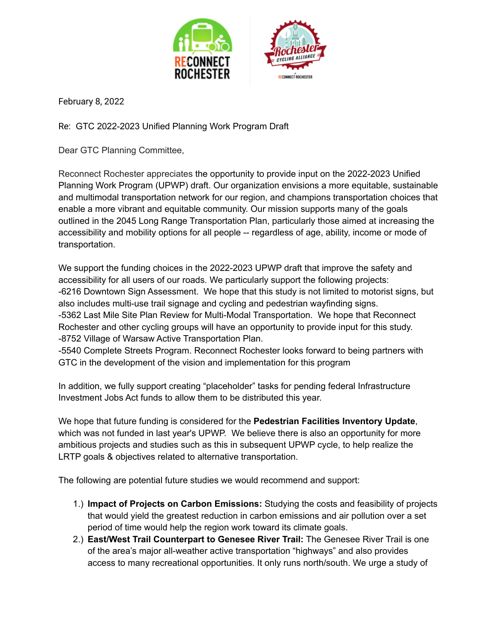

February 8, 2022

Re: GTC 2022-2023 Unified Planning Work Program Draft

Dear GTC Planning Committee,

Reconnect Rochester appreciates the opportunity to provide input on the 2022-2023 Unified Planning Work Program (UPWP) draft. Our organization envisions a more equitable, sustainable and multimodal transportation network for our region, and champions transportation choices that enable a more vibrant and equitable community. Our mission supports many of the goals outlined in the 2045 Long Range Transportation Plan, particularly those aimed at increasing the accessibility and mobility options for all people -- regardless of age, ability, income or mode of transportation.

We support the funding choices in the 2022-2023 UPWP draft that improve the safety and accessibility for all users of our roads. We particularly support the following projects: -6216 Downtown Sign Assessment. We hope that this study is not limited to motorist signs, but also includes multi-use trail signage and cycling and pedestrian wayfinding signs. -5362 Last Mile Site Plan Review for Multi-Modal Transportation. We hope that Reconnect Rochester and other cycling groups will have an opportunity to provide input for this study. -8752 Village of Warsaw Active Transportation Plan.

-5540 Complete Streets Program. Reconnect Rochester looks forward to being partners with GTC in the development of the vision and implementation for this program

In addition, we fully support creating "placeholder" tasks for pending federal Infrastructure Investment Jobs Act funds to allow them to be distributed this year.

We hope that future funding is considered for the **Pedestrian Facilities Inventory Update**, which was not funded in last year's UPWP. We believe there is also an opportunity for more ambitious projects and studies such as this in subsequent UPWP cycle, to help realize the LRTP goals & objectives related to alternative transportation.

The following are potential future studies we would recommend and support:

- 1.) **Impact of Projects on Carbon Emissions:** Studying the costs and feasibility of projects that would yield the greatest reduction in carbon emissions and air pollution over a set period of time would help the region work toward its climate goals.
- 2.) **East/West Trail Counterpart to Genesee River Trail:** The Genesee River Trail is one of the area's major all-weather active transportation "highways" and also provides access to many recreational opportunities. It only runs north/south. We urge a study of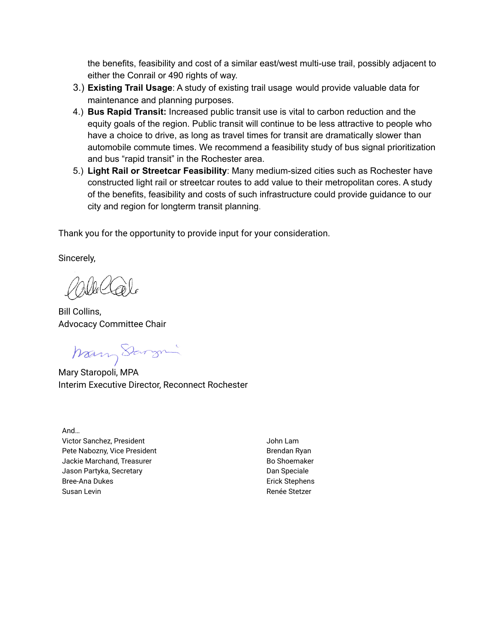the benefits, feasibility and cost of a similar east/west multi-use trail, possibly adjacent to either the Conrail or 490 rights of way.

- 3.) **Existing Trail Usage**: A study of existing trail usage would provide valuable data for maintenance and planning purposes.
- 4.) **Bus Rapid Transit:** Increased public transit use is vital to carbon reduction and the equity goals of the region. Public transit will continue to be less attractive to people who have a choice to drive, as long as travel times for transit are dramatically slower than automobile commute times. We recommend a feasibility study of bus signal prioritization and bus "rapid transit" in the Rochester area.
- 5.) **Light Rail or Streetcar Feasibility**: Many medium-sized cities such as Rochester have constructed light rail or streetcar routes to add value to their metropolitan cores. A study of the benefits, feasibility and costs of such infrastructure could provide guidance to our city and region for longterm transit planning.

Thank you for the opportunity to provide input for your consideration.

Sincerely,

Bill Collins, Advocacy Committee Chair

Many Sarge

Mary Staropoli, MPA Interim Executive Director, Reconnect Rochester

And… Victor Sanchez, President Pete Nabozny, Vice President Jackie Marchand, Treasurer Jason Partyka, Secretary Bree-Ana Dukes Susan Levin

John Lam Brendan Ryan Bo Shoemaker Dan Speciale Erick Stephens Renée Stetzer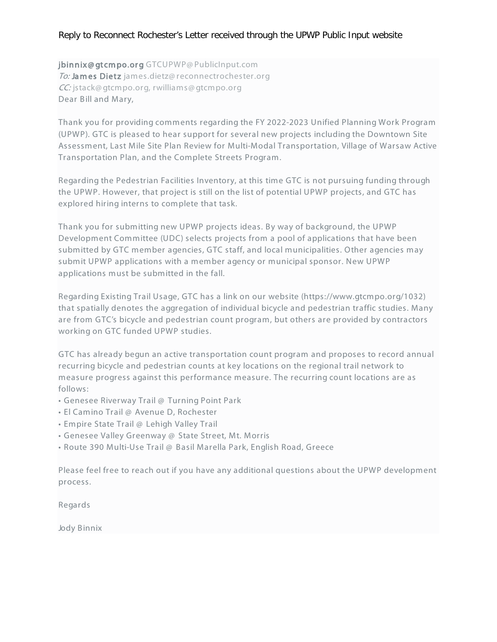## Reply to Reconnect Rochester's Letter received through the UPWP Public Input website

jbinnix@gtcmpo.org GTCUPWP@PublicInput.com To: Ja m es Dietz james.dietz@ reconnectrochester.org CC: jstack@ gtcmpo.org, rwilliams@ gtcmpo.org Dear Bill and Mary,

Thank you for providing comments regarding the FY 2022-2023 Unified Planning Work Program (UPWP). GTC is pleased to hear support for several new projects including the Downtown Site Assessment, Last Mile Site Plan Review for Multi-Modal Transportation, Village of Warsaw Active Transportation Plan, and the Complete Streets Program.

Regarding the Pedestrian Facilities Inventory, at this time GTC is not pursuing funding through the UPWP. However, that project is still on the list of potential UPWP projects, and GTC has explored hiring interns to complete that task.

Thank you for submitting new UPWP projects ideas. By way of background, the UPWP Development Committee (UDC) selects projects from a pool of applications that have been submitted by GTC member agencies, GTC staff, and local municipalities. Other agencies may submit UPWP applications with a member agency or municipal sponsor. New UPWP applications must be submitted in the fall.

Regarding Existing Trail Usage, GTC has a link on our website (https://www.gtcmpo.org/1032) that spatially denotes the aggregation of individual bicycle and pedestrian traffic studies. Many are from GTC's bicycle and pedestrian count program, but others are provided by contractors working on GTC funded UPWP studies.

GTC has already begun an active transportation count program and proposes to record annual recurring bicycle and pedestrian counts at key locations on the regional trail network to measure progress against this performance measure. The recurring count locations are as follows:

- Genesee Riverway Trail @ Turning Point Park
- El Camino Trail @ Avenue D, Rochester
- Empire State Trail @ Lehigh Valley Trail
- Genesee Valley Greenway @ State Street, Mt. Morris
- Route 390 Multi-Use Trail @ Basil Marella Park, English Road, Greece

Please feel free to reach out if you have any additional questions about the UPWP development process.

Regards

Jody Binnix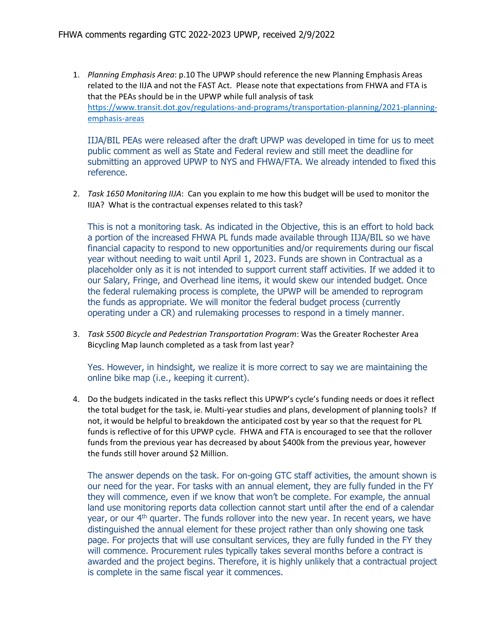1. *Planning Emphasis Area*: p.10 The UPWP should reference the new Planning Emphasis Areas related to the IIJA and not the FAST Act. Please note that expectations from FHWA and FTA is that the PEAs should be in the UPWP while full analysis of task [https://www.transit.dot.gov/regulations-and-programs/transportation-planning/2021-planning](https://linkprotect.cudasvc.com/url?a=https%3a%2f%2fwww.transit.dot.gov%2fregulations-and-programs%2ftransportation-planning%2f2021-planning-emphasis-areas&c=E,1,dqaDX8wYN2s44vInYD09YmaSTl5H1co6EakWmAO-rjHzxrV2e41q1RGsabJN7CjxsZjH3oUO6oVoXInIcwrsMBuRYxuTFuKZ4MPJ_tV3N0Q-&typo=1)[emphasis-areas](https://linkprotect.cudasvc.com/url?a=https%3a%2f%2fwww.transit.dot.gov%2fregulations-and-programs%2ftransportation-planning%2f2021-planning-emphasis-areas&c=E,1,dqaDX8wYN2s44vInYD09YmaSTl5H1co6EakWmAO-rjHzxrV2e41q1RGsabJN7CjxsZjH3oUO6oVoXInIcwrsMBuRYxuTFuKZ4MPJ_tV3N0Q-&typo=1)

IIJA/BIL PEAs were released after the draft UPWP was developed in time for us to meet public comment as well as State and Federal review and still meet the deadline for submitting an approved UPWP to NYS and FHWA/FTA. We already intended to fixed this reference.

2. *Task 1650 Monitoring IIJA*: Can you explain to me how this budget will be used to monitor the IIJA? What is the contractual expenses related to this task?

This is not a monitoring task. As indicated in the Objective, this is an effort to hold back a portion of the increased FHWA PL funds made available through IIJA/BIL so we have financial capacity to respond to new opportunities and/or requirements during our fiscal year without needing to wait until April 1, 2023. Funds are shown in Contractual as a placeholder only as it is not intended to support current staff activities. If we added it to our Salary, Fringe, and Overhead line items, it would skew our intended budget. Once the federal rulemaking process is complete, the UPWP will be amended to reprogram the funds as appropriate. We will monitor the federal budget process (currently operating under a CR) and rulemaking processes to respond in a timely manner.

3. *Task 5500 Bicycle and Pedestrian Transportation Program*: Was the Greater Rochester Area Bicycling Map launch completed as a task from last year?

Yes. However, in hindsight, we realize it is more correct to say we are maintaining the online bike map (i.e., keeping it current).

4. Do the budgets indicated in the tasks reflect this UPWP's cycle's funding needs or does it reflect the total budget for the task, ie. Multi-year studies and plans, development of planning tools? If not, it would be helpful to breakdown the anticipated cost by year so that the request for PL funds is reflective of for this UPWP cycle. FHWA and FTA is encouraged to see that the rollover funds from the previous year has decreased by about \$400k from the previous year, however the funds still hover around \$2 Million.

The answer depends on the task. For on-going GTC staff activities, the amount shown is our need for the year. For tasks with an annual element, they are fully funded in the FY they will commence, even if we know that won't be complete. For example, the annual land use monitoring reports data collection cannot start until after the end of a calendar year, or our  $4<sup>th</sup>$  quarter. The funds rollover into the new year. In recent years, we have distinguished the annual element for these project rather than only showing one task page. For projects that will use consultant services, they are fully funded in the FY they will commence. Procurement rules typically takes several months before a contract is awarded and the project begins. Therefore, it is highly unlikely that a contractual project is complete in the same fiscal year it commences.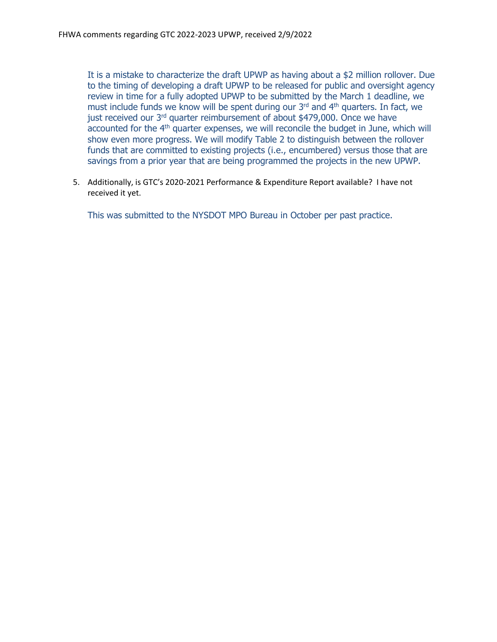It is a mistake to characterize the draft UPWP as having about a \$2 million rollover. Due to the timing of developing a draft UPWP to be released for public and oversight agency review in time for a fully adopted UPWP to be submitted by the March 1 deadline, we must include funds we know will be spent during our 3rd and 4th quarters. In fact, we just received our 3<sup>rd</sup> quarter reimbursement of about \$479,000. Once we have  $\alpha$  accounted for the  $4<sup>th</sup>$  quarter expenses, we will reconcile the budget in June, which will show even more progress. We will modify Table 2 to distinguish between the rollover funds that are committed to existing projects (i.e., encumbered) versus those that are savings from a prior year that are being programmed the projects in the new UPWP.

5. Additionally, is GTC's 2020-2021 Performance & Expenditure Report available? I have not received it yet.

This was submitted to the NYSDOT MPO Bureau in October per past practice.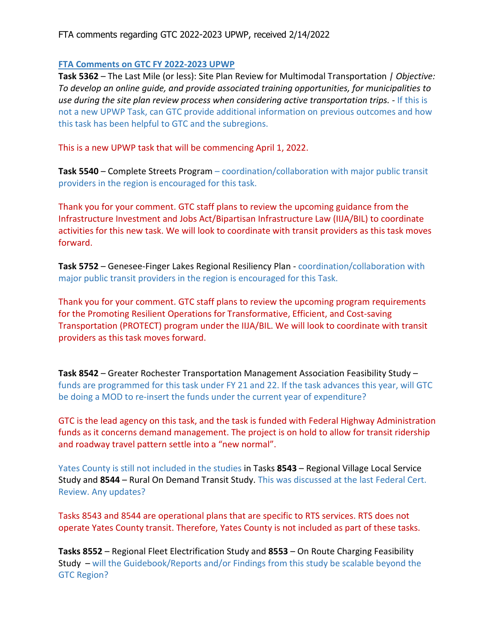#### **FTA Comments on GTC FY 2022-2023 UPWP**

**Task 5362** – The Last Mile (or less): Site Plan Review for Multimodal Transportation *| Objective: To develop an online guide, and provide associated training opportunities, for municipalities to use during the site plan review process when considering active transportation trips. -* If this is not a new UPWP Task, can GTC provide additional information on previous outcomes and how this task has been helpful to GTC and the subregions.

This is a new UPWP task that will be commencing April 1, 2022.

**Task 5540** – Complete Streets Program – coordination/collaboration with major public transit providers in the region is encouraged for this task.

Thank you for your comment. GTC staff plans to review the upcoming guidance from the Infrastructure Investment and Jobs Act/Bipartisan Infrastructure Law (IIJA/BIL) to coordinate activities for this new task. We will look to coordinate with transit providers as this task moves forward.

**Task 5752** – Genesee-Finger Lakes Regional Resiliency Plan - coordination/collaboration with major public transit providers in the region is encouraged for this Task.

Thank you for your comment. GTC staff plans to review the upcoming program requirements for the Promoting Resilient Operations for Transformative, Efficient, and Cost-saving Transportation (PROTECT) program under the IIJA/BIL. We will look to coordinate with transit providers as this task moves forward.

**Task 8542** – Greater Rochester Transportation Management Association Feasibility Study – funds are programmed for this task under FY 21 and 22. If the task advances this year, will GTC be doing a MOD to re-insert the funds under the current year of expenditure?

GTC is the lead agency on this task, and the task is funded with Federal Highway Administration funds as it concerns demand management. The project is on hold to allow for transit ridership and roadway travel pattern settle into a "new normal".

Yates County is still not included in the studies in Tasks **8543** – Regional Village Local Service Study and **8544** – Rural On Demand Transit Study. This was discussed at the last Federal Cert. Review. Any updates?

Tasks 8543 and 8544 are operational plans that are specific to RTS services. RTS does not operate Yates County transit. Therefore, Yates County is not included as part of these tasks.

**Tasks 8552** – Regional Fleet Electrification Study and **8553** – On Route Charging Feasibility Study – will the Guidebook/Reports and/or Findings from this study be scalable beyond the GTC Region?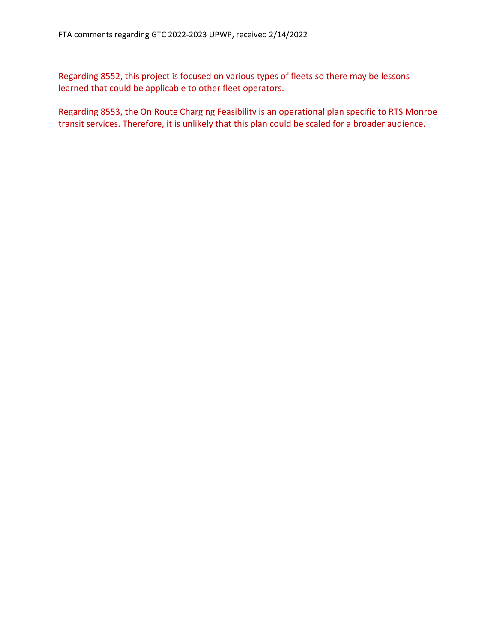Regarding 8552, this project is focused on various types of fleets so there may be lessons learned that could be applicable to other fleet operators.

Regarding 8553, the On Route Charging Feasibility is an operational plan specific to RTS Monroe transit services. Therefore, it is unlikely that this plan could be scaled for a broader audience.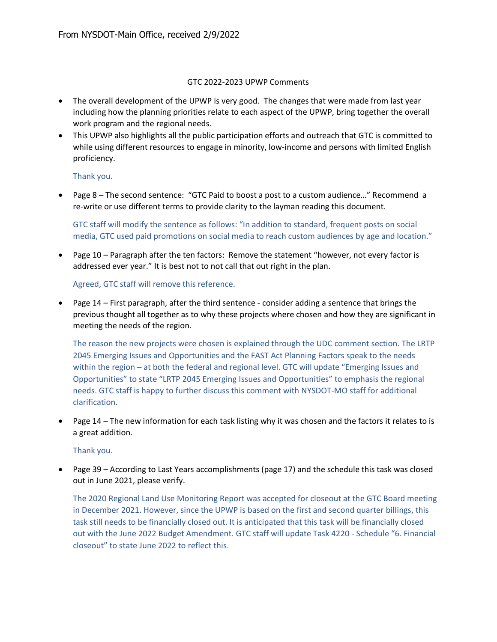#### GTC 2022-2023 UPWP Comments

- The overall development of the UPWP is very good. The changes that were made from last year including how the planning priorities relate to each aspect of the UPWP, bring together the overall work program and the regional needs.
- This UPWP also highlights all the public participation efforts and outreach that GTC is committed to while using different resources to engage in minority, low-income and persons with limited English proficiency.

#### Thank you.

• Page 8 – The second sentence: "GTC Paid to boost a post to a custom audience…" Recommend a re-write or use different terms to provide clarity to the layman reading this document.

GTC staff will modify the sentence as follows: "In addition to standard, frequent posts on social media, GTC used paid promotions on social media to reach custom audiences by age and location."

• Page 10 – Paragraph after the ten factors: Remove the statement "however, not every factor is addressed ever year." It is best not to not call that out right in the plan.

Agreed, GTC staff will remove this reference.

• Page 14 – First paragraph, after the third sentence - consider adding a sentence that brings the previous thought all together as to why these projects where chosen and how they are significant in meeting the needs of the region.

The reason the new projects were chosen is explained through the UDC comment section. The LRTP 2045 Emerging Issues and Opportunities and the FAST Act Planning Factors speak to the needs within the region – at both the federal and regional level. GTC will update "Emerging Issues and Opportunities" to state "LRTP 2045 Emerging Issues and Opportunities" to emphasis the regional needs. GTC staff is happy to further discuss this comment with NYSDOT-MO staff for additional clarification.

• Page 14 – The new information for each task listing why it was chosen and the factors it relates to is a great addition.

#### Thank you.

• Page 39 – According to Last Years accomplishments (page 17) and the schedule this task was closed out in June 2021, please verify.

The 2020 Regional Land Use Monitoring Report was accepted for closeout at the GTC Board meeting in December 2021. However, since the UPWP is based on the first and second quarter billings, this task still needs to be financially closed out. It is anticipated that this task will be financially closed out with the June 2022 Budget Amendment. GTC staff will update Task 4220 - Schedule "6. Financial closeout" to state June 2022 to reflect this.